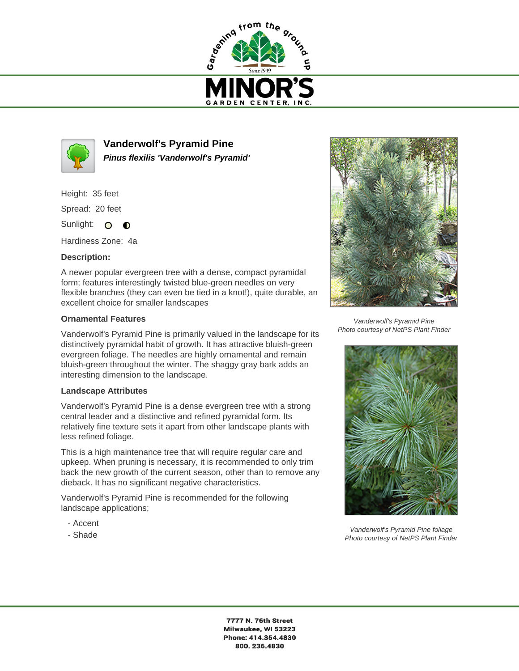



**Vanderwolf's Pyramid Pine Pinus flexilis 'Vanderwolf's Pyramid'**

Height: 35 feet

Spread: 20 feet

Sunlight: O **O** 

Hardiness Zone: 4a

## **Description:**

A newer popular evergreen tree with a dense, compact pyramidal form; features interestingly twisted blue-green needles on very flexible branches (they can even be tied in a knot!), quite durable, an excellent choice for smaller landscapes

## **Ornamental Features**

Vanderwolf's Pyramid Pine is primarily valued in the landscape for its distinctively pyramidal habit of growth. It has attractive bluish-green evergreen foliage. The needles are highly ornamental and remain bluish-green throughout the winter. The shaggy gray bark adds an interesting dimension to the landscape.

## **Landscape Attributes**

Vanderwolf's Pyramid Pine is a dense evergreen tree with a strong central leader and a distinctive and refined pyramidal form. Its relatively fine texture sets it apart from other landscape plants with less refined foliage.

This is a high maintenance tree that will require regular care and upkeep. When pruning is necessary, it is recommended to only trim back the new growth of the current season, other than to remove any dieback. It has no significant negative characteristics.

Vanderwolf's Pyramid Pine is recommended for the following landscape applications;

- Accent
- Shade



Vanderwolf's Pyramid Pine Photo courtesy of NetPS Plant Finder



Vanderwolf's Pyramid Pine foliage Photo courtesy of NetPS Plant Finder